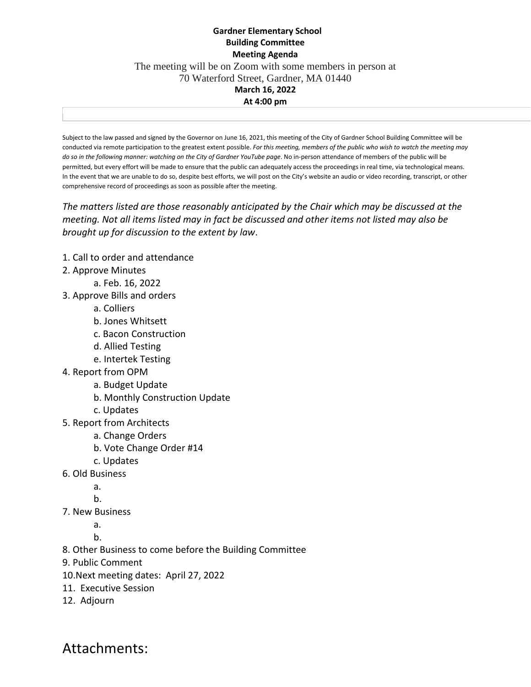## **Gardner Elementary School Building Committee Meeting Agenda** The meeting will be on Zoom with some members in person at 70 Waterford Street, Gardner, MA 01440 **March 16, 2022 At 4:00 pm**

Subject to the law passed and signed by the Governor on June 16, 2021, this meeting of the City of Gardner School Building Committee will be conducted via remote participation to the greatest extent possible. *For this meeting, members of the public who wish to watch the meeting may do so in the following manner: watching on the City of Gardner YouTube page*. No in-person attendance of members of the public will be permitted, but every effort will be made to ensure that the public can adequately access the proceedings in real time, via technological means. In the event that we are unable to do so, despite best efforts, we will post on the City's website an audio or video recording, transcript, or other comprehensive record of proceedings as soon as possible after the meeting.

*The matters listed are those reasonably anticipated by the Chair which may be discussed at the meeting. Not all items listed may in fact be discussed and other items not listed may also be brought up for discussion to the extent by law*.

- 1. Call to order and attendance
- 2. Approve Minutes
	- a. Feb. 16, 2022
- 3. Approve Bills and orders
	- a. Colliers
	- b. Jones Whitsett
	- c. Bacon Construction
	- d. Allied Testing
	- e. Intertek Testing
- 4. Report from OPM
	- a. Budget Update
	- b. Monthly Construction Update
	- c. Updates
- 5. Report from Architects
	- a. Change Orders
	- b. Vote Change Order #14
	- c. Updates
- 6. Old Business
	- a.
	- b.
- 7. New Business
	- a.
	- b.
- 8. Other Business to come before the Building Committee
- 9. Public Comment
- 10.Next meeting dates: April 27, 2022
- 11. Executive Session
- 12. Adjourn

Attachments: